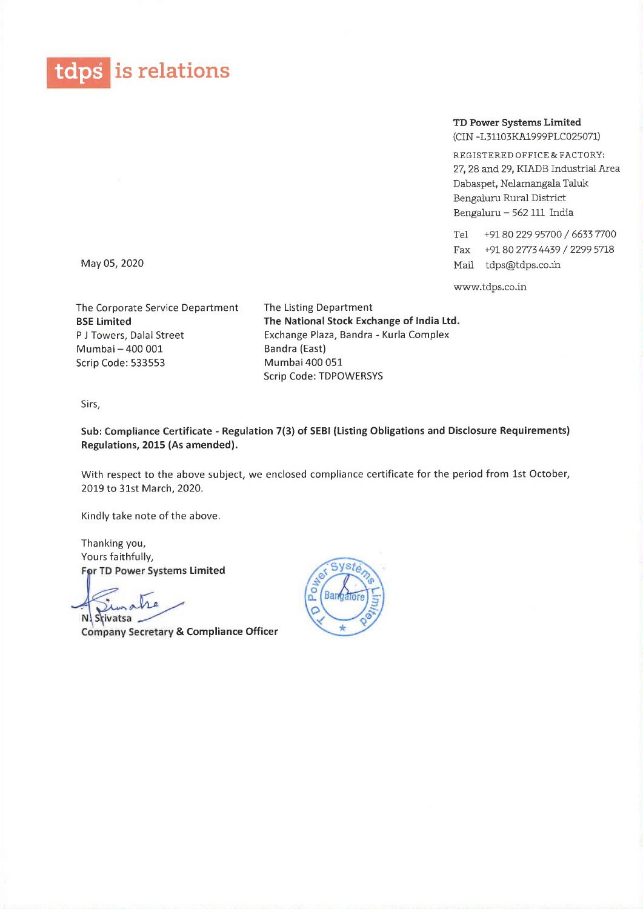

TD Power Systems Limited (CIN -L31103KA1999PLC025071)

REGISTERED OFFICE & FACTORY: 27, 28 and 29, KIADB Industrial Area Dabaspet, Nelamangala Taluk Bengaluru Rural District Bengaluru — 562 111 India

Tel +9180 229 95700 / 6633 7700 Fax +9180 27734439 / 2299 5718 May 05, 2020 Mail tdps@tdps.co.in

www.tdps.co.in

The Corporate Service Department The Listing Department Mumbai – 400 001 Bandra (East) Scrip Code: 533553 Mumbai 400 051

BSE Limited The National Stock Exchange of India Ltd. P J Towers, Dalal Street Exchange Plaza, Bandra - Kurla Complex Scrip Code: TDPOWERSYS

Sirs,

Sub: Compliance Certificate - Regulation 7(3) of SEBI (Listing Obligations and Disclosure Requirements) Regulations, 2015 (As amended).

With respect to the above subject, we enclosed compliance certificate for the period from 1st October, 2019 to 31st March, 2020.

Kindly take note of the above.

Thanking you, Yours faithfully, For TD Power Systems Limited

Srivatsa

Company Secretary & Compliance Officer